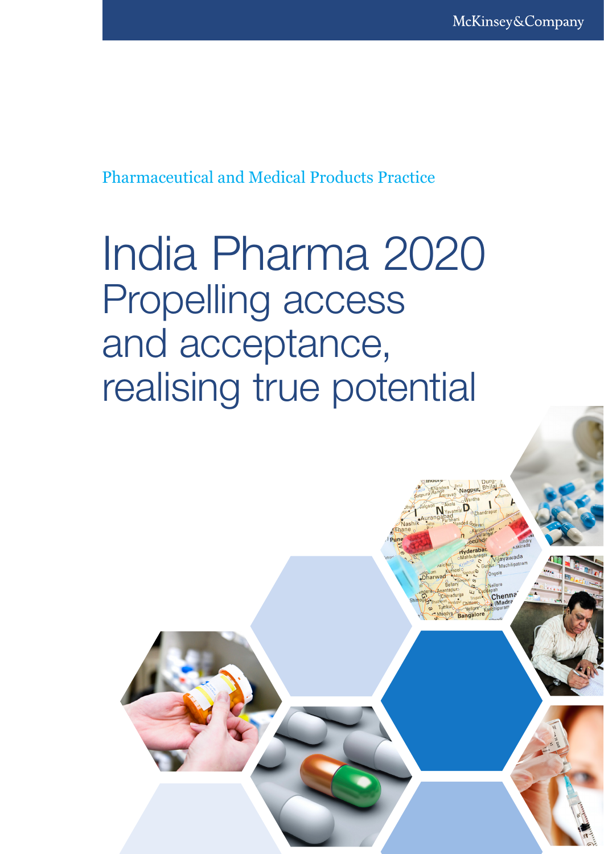Nagpur.

derab

landya Bangalor

Vijayawada

Chenna

Pharmaceutical and Medical Products Practice

# India Pharma 2020 Propelling access and acceptance, realising true potential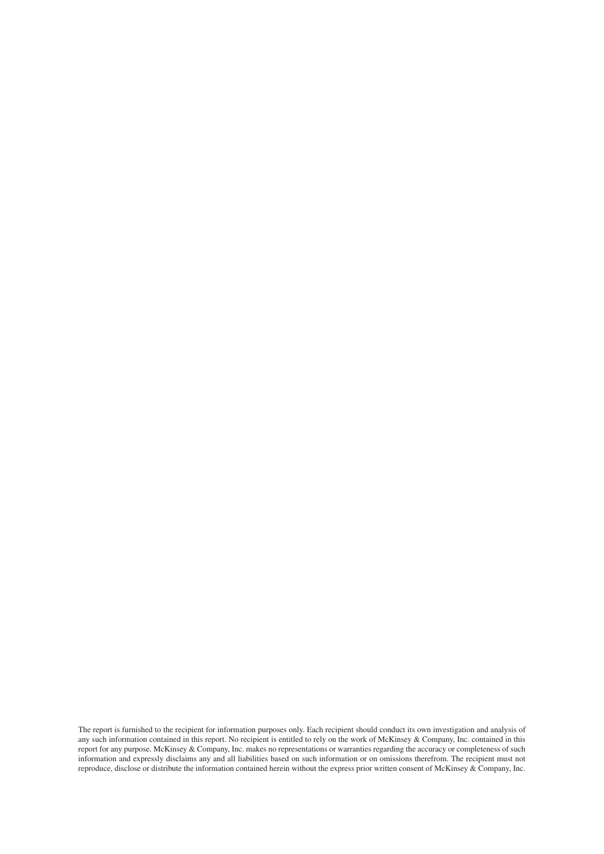The report is furnished to the recipient for information purposes only. Each recipient should conduct its own investigation and analysis of any such information contained in this report. No recipient is entitled to rely on the work of McKinsey & Company, Inc. contained in this report for any purpose. McKinsey & Company, Inc. makes no representations or warranties regarding the accuracy or completeness of such information and expressly disclaims any and all liabilities based on such information or on omissions therefrom. The recipient must not reproduce, disclose or distribute the information contained herein without the express prior written consent of McKinsey & Company, Inc.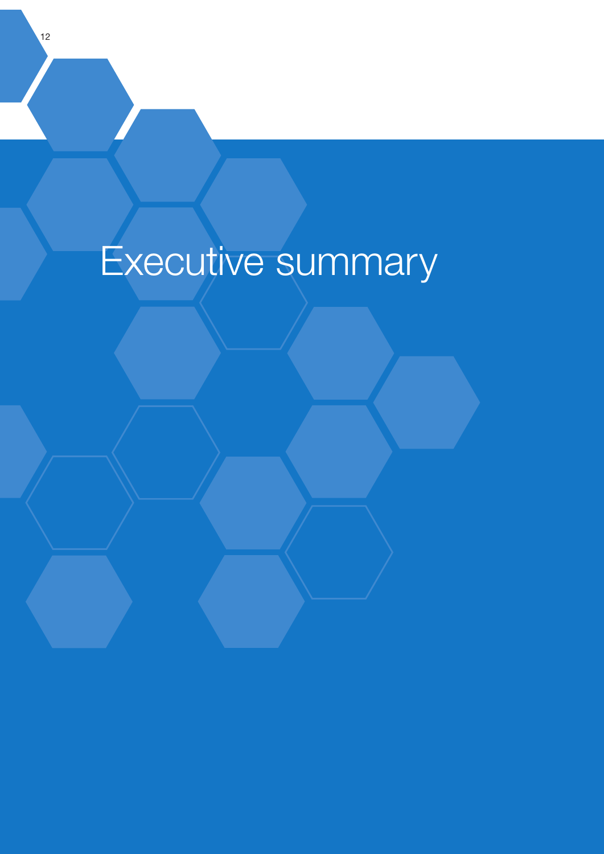# Executive summary

12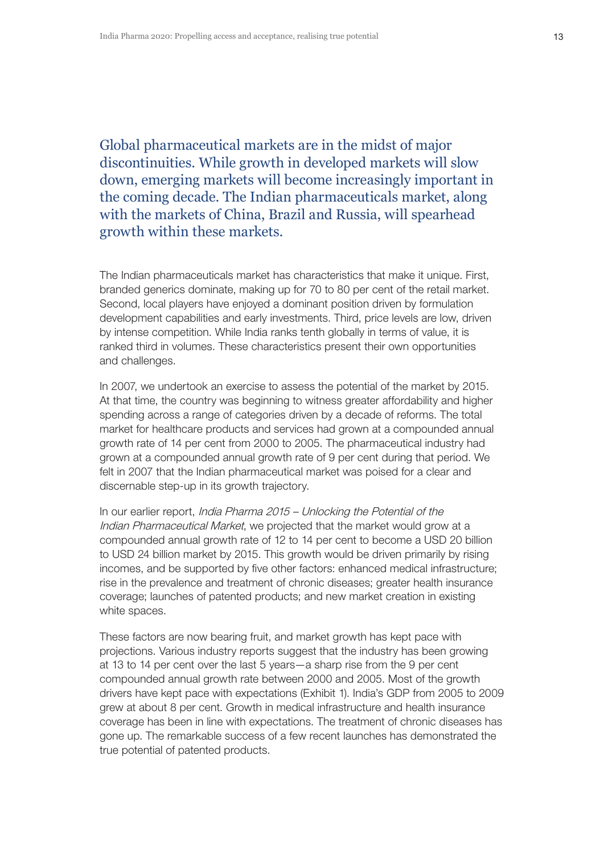Global pharmaceutical markets are in the midst of major discontinuities. While growth in developed markets will slow down, emerging markets will become increasingly important in the coming decade. The Indian pharmaceuticals market, along with the markets of China, Brazil and Russia, will spearhead growth within these markets.

The Indian pharmaceuticals market has characteristics that make it unique. First, branded generics dominate, making up for 70 to 80 per cent of the retail market. Second, local players have enjoyed a dominant position driven by formulation development capabilities and early investments. Third, price levels are low, driven by intense competition. While India ranks tenth globally in terms of value, it is ranked third in volumes. These characteristics present their own opportunities and challenges.

In 2007, we undertook an exercise to assess the potential of the market by 2015. At that time, the country was beginning to witness greater affordability and higher spending across a range of categories driven by a decade of reforms. The total market for healthcare products and services had grown at a compounded annual growth rate of 14 per cent from 2000 to 2005. The pharmaceutical industry had grown at a compounded annual growth rate of 9 per cent during that period. We felt in 2007 that the Indian pharmaceutical market was poised for a clear and discernable step-up in its growth trajectory.

In our earlier report, India Pharma 2015 – Unlocking the Potential of the Indian Pharmaceutical Market, we projected that the market would grow at a compounded annual growth rate of 12 to 14 per cent to become a USD 20 billion to USD 24 billion market by 2015. This growth would be driven primarily by rising incomes, and be supported by five other factors: enhanced medical infrastructure; rise in the prevalence and treatment of chronic diseases; greater health insurance coverage; launches of patented products; and new market creation in existing white spaces.

These factors are now bearing fruit, and market growth has kept pace with projections. Various industry reports suggest that the industry has been growing at 13 to 14 per cent over the last 5 years—a sharp rise from the 9 per cent compounded annual growth rate between 2000 and 2005. Most of the growth drivers have kept pace with expectations (Exhibit 1). India's GDP from 2005 to 2009 grew at about 8 per cent. Growth in medical infrastructure and health insurance coverage has been in line with expectations. The treatment of chronic diseases has gone up. The remarkable success of a few recent launches has demonstrated the true potential of patented products.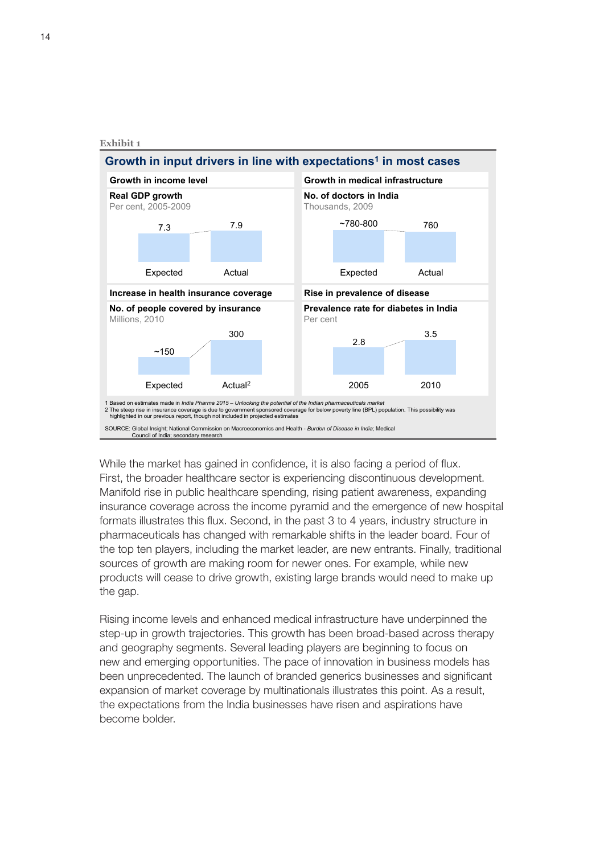

While the market has gained in confidence, it is also facing a period of flux. First, the broader healthcare sector is experiencing discontinuous development. Manifold rise in public healthcare spending, rising patient awareness, expanding insurance coverage across the income pyramid and the emergence of new hospital formats illustrates this flux. Second, in the past 3 to 4 years, industry structure in pharmaceuticals has changed with remarkable shifts in the leader board. Four of the top ten players, including the market leader, are new entrants. Finally, traditional sources of growth are making room for newer ones. For example, while new products will cease to drive growth, existing large brands would need to make up the gap.

Rising income levels and enhanced medical infrastructure have underpinned the step-up in growth trajectories. This growth has been broad-based across therapy and geography segments. Several leading players are beginning to focus on new and emerging opportunities. The pace of innovation in business models has been unprecedented. The launch of branded generics businesses and significant expansion of market coverage by multinationals illustrates this point. As a result, the expectations from the India businesses have risen and aspirations have become bolder.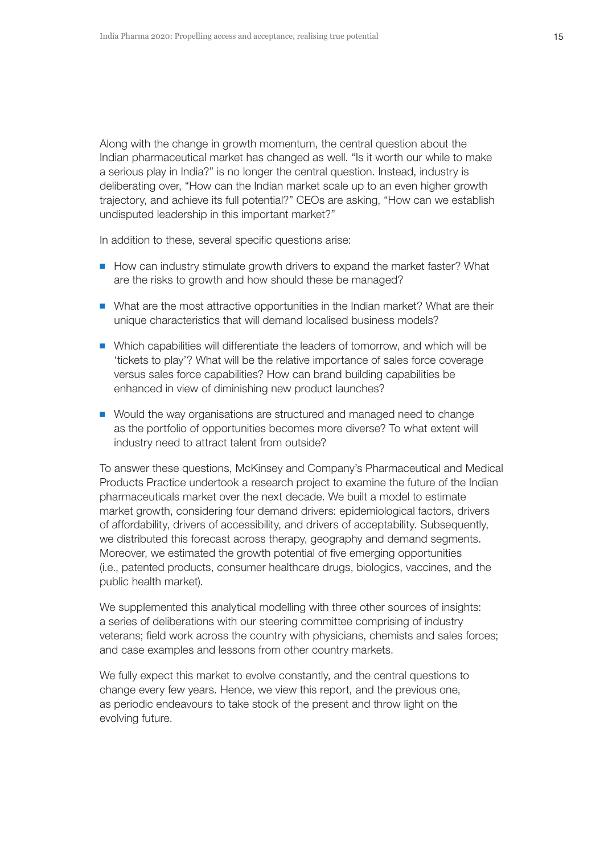Along with the change in growth momentum, the central question about the Indian pharmaceutical market has changed as well. "Is it worth our while to make a serious play in India?" is no longer the central question. Instead, industry is deliberating over, "How can the Indian market scale up to an even higher growth trajectory, and achieve its full potential?" CEOs are asking, "How can we establish undisputed leadership in this important market?"

In addition to these, several specific questions arise:

- **DED How can industry stimulate growth drivers to expand the market faster? What** are the risks to growth and how should these be managed?
- $\blacksquare$  What are the most attractive opportunities in the Indian market? What are their unique characteristics that will demand localised business models?
- $\blacksquare$  Which capabilities will differentiate the leaders of tomorrow, and which will be 'tickets to play'? What will be the relative importance of sales force coverage versus sales force capabilities? How can brand building capabilities be enhanced in view of diminishing new product launches?
- Would the way organisations are structured and managed need to change as the portfolio of opportunities becomes more diverse? To what extent will industry need to attract talent from outside?

To answer these questions, McKinsey and Company's Pharmaceutical and Medical Products Practice undertook a research project to examine the future of the Indian pharmaceuticals market over the next decade. We built a model to estimate market growth, considering four demand drivers: epidemiological factors, drivers of affordability, drivers of accessibility, and drivers of acceptability. Subsequently, we distributed this forecast across therapy, geography and demand segments. Moreover, we estimated the growth potential of five emerging opportunities (i.e., patented products, consumer healthcare drugs, biologics, vaccines, and the public health market).

We supplemented this analytical modelling with three other sources of insights: a series of deliberations with our steering committee comprising of industry veterans; field work across the country with physicians, chemists and sales forces; and case examples and lessons from other country markets.

We fully expect this market to evolve constantly, and the central questions to change every few years. Hence, we view this report, and the previous one, as periodic endeavours to take stock of the present and throw light on the evolving future.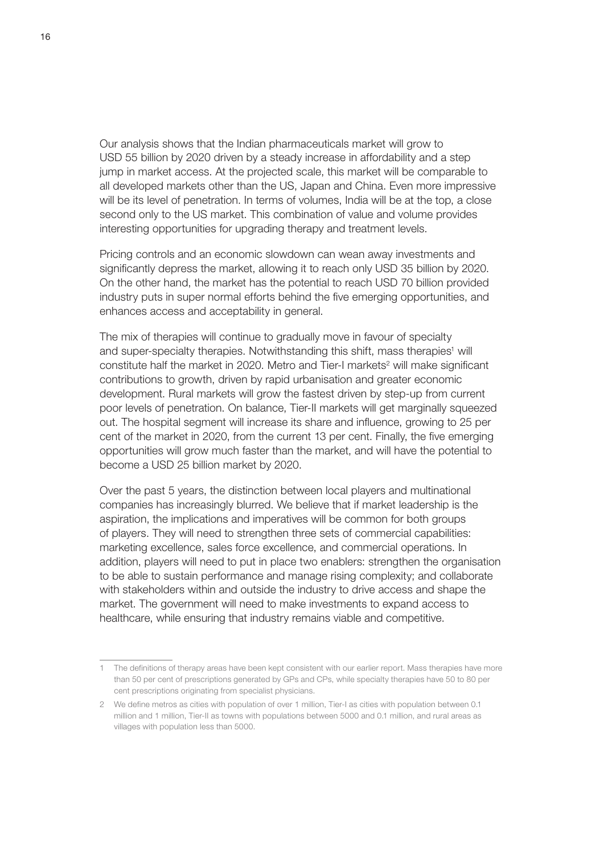Our analysis shows that the Indian pharmaceuticals market will grow to USD 55 billion by 2020 driven by a steady increase in affordability and a step jump in market access. At the projected scale, this market will be comparable to all developed markets other than the US, Japan and China. Even more impressive will be its level of penetration. In terms of volumes, India will be at the top, a close second only to the US market. This combination of value and volume provides interesting opportunities for upgrading therapy and treatment levels.

Pricing controls and an economic slowdown can wean away investments and significantly depress the market, allowing it to reach only USD 35 billion by 2020. On the other hand, the market has the potential to reach USD 70 billion provided industry puts in super normal efforts behind the five emerging opportunities, and enhances access and acceptability in general.

The mix of therapies will continue to gradually move in favour of specialty and super-specialty therapies. Notwithstanding this shift, mass therapies<sup>1</sup> will constitute half the market in 2020. Metro and Tier-I markets<sup>2</sup> will make significant contributions to growth, driven by rapid urbanisation and greater economic development. Rural markets will grow the fastest driven by step-up from current poor levels of penetration. On balance, Tier-II markets will get marginally squeezed out. The hospital segment will increase its share and influence, growing to 25 per cent of the market in 2020, from the current 13 per cent. Finally, the five emerging opportunities will grow much faster than the market, and will have the potential to become a USD 25 billion market by 2020.

Over the past 5 years, the distinction between local players and multinational companies has increasingly blurred. We believe that if market leadership is the aspiration, the implications and imperatives will be common for both groups of players. They will need to strengthen three sets of commercial capabilities: marketing excellence, sales force excellence, and commercial operations. In addition, players will need to put in place two enablers: strengthen the organisation to be able to sustain performance and manage rising complexity; and collaborate with stakeholders within and outside the industry to drive access and shape the market. The government will need to make investments to expand access to healthcare, while ensuring that industry remains viable and competitive.

<sup>1</sup> The definitions of therapy areas have been kept consistent with our earlier report. Mass therapies have more than 50 per cent of prescriptions generated by GPs and CPs, while specialty therapies have 50 to 80 per cent prescriptions originating from specialist physicians.

<sup>2</sup> We define metros as cities with population of over 1 million, Tier-I as cities with population between 0.1 million and 1 million, Tier-II as towns with populations between 5000 and 0.1 million, and rural areas as villages with population less than 5000.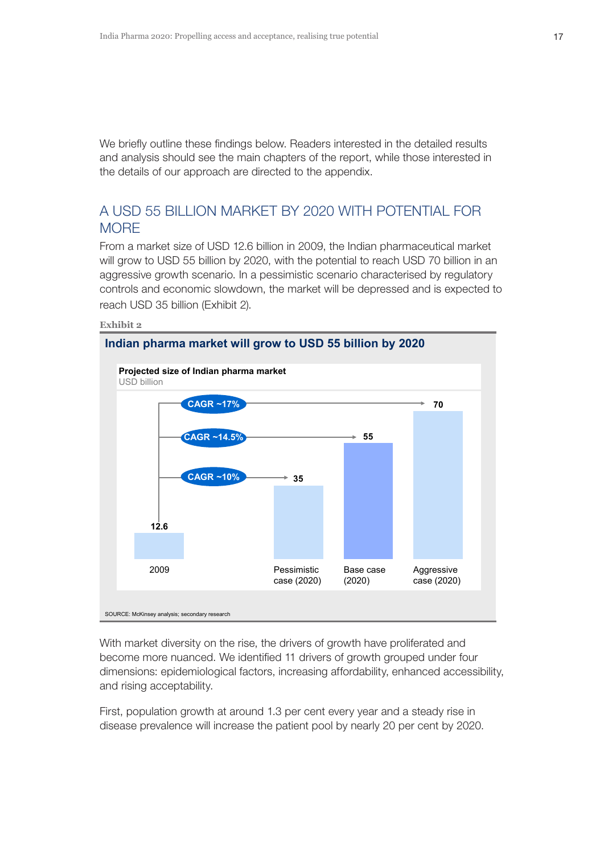We briefly outline these findings below. Readers interested in the detailed results and analysis should see the main chapters of the report, while those interested in the details of our approach are directed to the appendix.

# A USD 55 BILLION MARKET BY 2020 WITH POTENTIAL FOR **MORE**

From a market size of USD 12.6 billion in 2009, the Indian pharmaceutical market will grow to USD 55 billion by 2020, with the potential to reach USD 70 billion in an aggressive growth scenario. In a pessimistic scenario characterised by regulatory controls and economic slowdown, the market will be depressed and is expected to reach USD 35 billion (Exhibit 2).



With market diversity on the rise, the drivers of growth have proliferated and become more nuanced. We identified 11 drivers of growth grouped under four dimensions: epidemiological factors, increasing affordability, enhanced accessibility, and rising acceptability.

First, population growth at around 1.3 per cent every year and a steady rise in disease prevalence will increase the patient pool by nearly 20 per cent by 2020.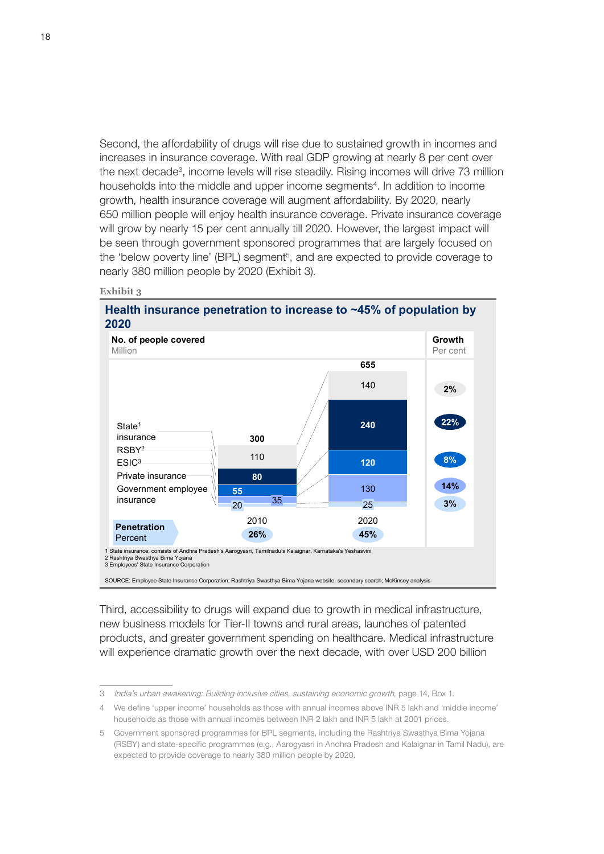Second, the affordability of drugs will rise due to sustained growth in incomes and increases in insurance coverage. With real GDP growing at nearly 8 per cent over the next decade<sup>3</sup>, income levels will rise steadily. Rising incomes will drive 73 million households into the middle and upper income segments<sup>4</sup>. In addition to income growth, health insurance coverage will augment affordability. By 2020, nearly 650 million people will enjoy health insurance coverage. Private insurance coverage will grow by nearly 15 per cent annually till 2020. However, the largest impact will be seen through government sponsored programmes that are largely focused on the 'below poverty line' (BPL) segment<sup>5</sup>, and are expected to provide coverage to nearly 380 million people by 2020 (Exhibit 3).

#### **Exhibit 3**

**Health insurance penetration to increase to ~45% of population by 2020**



Third, accessibility to drugs will expand due to growth in medical infrastructure, new business models for Tier-II towns and rural areas, launches of patented products, and greater government spending on healthcare. Medical infrastructure will experience dramatic growth over the next decade, with over USD 200 billion

<sup>3</sup> India's urban awakening: Building inclusive cities, sustaining economic growth, page 14, Box 1.

<sup>4</sup> We define 'upper income' households as those with annual incomes above INR 5 lakh and 'middle income' households as those with annual incomes between INR 2 lakh and INR 5 lakh at 2001 prices.

<sup>5</sup> Government sponsored programmes for BPL segments, including the Rashtriya Swasthya Bima Yojana (RSBY) and state-specific programmes (e.g., Aarogyasri in Andhra Pradesh and Kalaignar in Tamil Nadu), are expected to provide coverage to nearly 380 million people by 2020.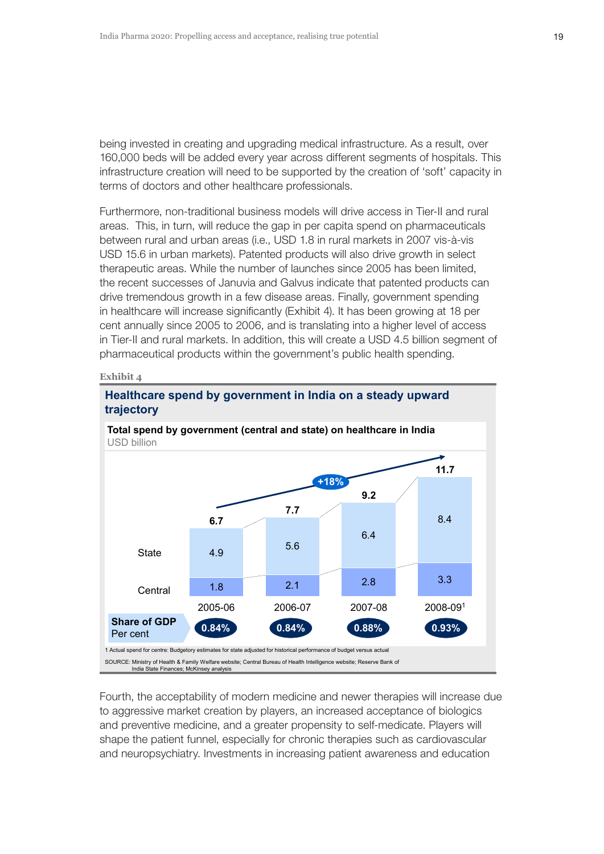being invested in creating and upgrading medical infrastructure. As a result, over 160,000 beds will be added every year across different segments of hospitals. This infrastructure creation will need to be supported by the creation of 'soft' capacity in terms of doctors and other healthcare professionals.

Furthermore, non-traditional business models will drive access in Tier-II and rural areas. This, in turn, will reduce the gap in per capita spend on pharmaceuticals between rural and urban areas (i.e., USD 1.8 in rural markets in 2007 vis-à-vis USD 15.6 in urban markets). Patented products will also drive growth in select therapeutic areas. While the number of launches since 2005 has been limited, the recent successes of Januvia and Galvus indicate that patented products can drive tremendous growth in a few disease areas. Finally, government spending in healthcare will increase significantly (Exhibit 4). It has been growing at 18 per cent annually since 2005 to 2006, and is translating into a higher level of access in Tier-II and rural markets. In addition, this will create a USD 4.5 billion segment of pharmaceutical products within the government's public health spending.

#### **Exhibit 4**



## **Healthcare spend by government in India on a steady upward trajectory**

Fourth, the acceptability of modern medicine and newer therapies will increase due to aggressive market creation by players, an increased acceptance of biologics and preventive medicine, and a greater propensity to self-medicate. Players will shape the patient funnel, especially for chronic therapies such as cardiovascular and neuropsychiatry. Investments in increasing patient awareness and education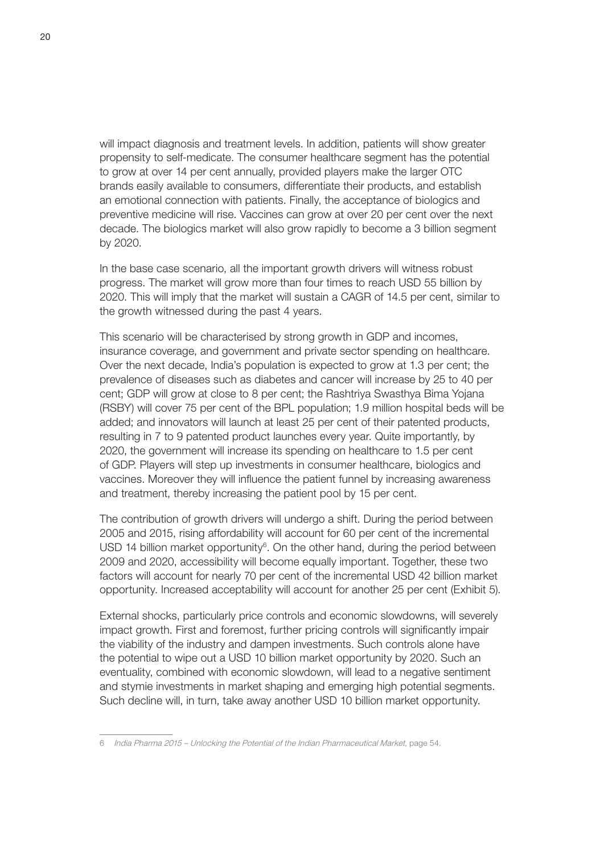will impact diagnosis and treatment levels. In addition, patients will show greater propensity to self-medicate. The consumer healthcare segment has the potential to grow at over 14 per cent annually, provided players make the larger OTC brands easily available to consumers, differentiate their products, and establish an emotional connection with patients. Finally, the acceptance of biologics and preventive medicine will rise. Vaccines can grow at over 20 per cent over the next decade. The biologics market will also grow rapidly to become a 3 billion segment by 2020.

In the base case scenario, all the important growth drivers will witness robust progress. The market will grow more than four times to reach USD 55 billion by 2020. This will imply that the market will sustain a CAGR of 14.5 per cent, similar to the growth witnessed during the past 4 years.

This scenario will be characterised by strong growth in GDP and incomes, insurance coverage, and government and private sector spending on healthcare. Over the next decade, India's population is expected to grow at 1.3 per cent; the prevalence of diseases such as diabetes and cancer will increase by 25 to 40 per cent; GDP will grow at close to 8 per cent; the Rashtriya Swasthya Bima Yojana (RSBY) will cover 75 per cent of the BPL population; 1.9 million hospital beds will be added; and innovators will launch at least 25 per cent of their patented products, resulting in 7 to 9 patented product launches every year. Quite importantly, by 2020, the government will increase its spending on healthcare to 1.5 per cent of GDP. Players will step up investments in consumer healthcare, biologics and vaccines. Moreover they will influence the patient funnel by increasing awareness and treatment, thereby increasing the patient pool by 15 per cent.

The contribution of growth drivers will undergo a shift. During the period between 2005 and 2015, rising affordability will account for 60 per cent of the incremental USD 14 billion market opportunity $6$ . On the other hand, during the period between 2009 and 2020, accessibility will become equally important. Together, these two factors will account for nearly 70 per cent of the incremental USD 42 billion market opportunity. Increased acceptability will account for another 25 per cent (Exhibit 5).

External shocks, particularly price controls and economic slowdowns, will severely impact growth. First and foremost, further pricing controls will significantly impair the viability of the industry and dampen investments. Such controls alone have the potential to wipe out a USD 10 billion market opportunity by 2020. Such an eventuality, combined with economic slowdown, will lead to a negative sentiment and stymie investments in market shaping and emerging high potential segments. Such decline will, in turn, take away another USD 10 billion market opportunity.

<sup>6</sup> India Pharma 2015 – Unlocking the Potential of the Indian Pharmaceutical Market, page 54.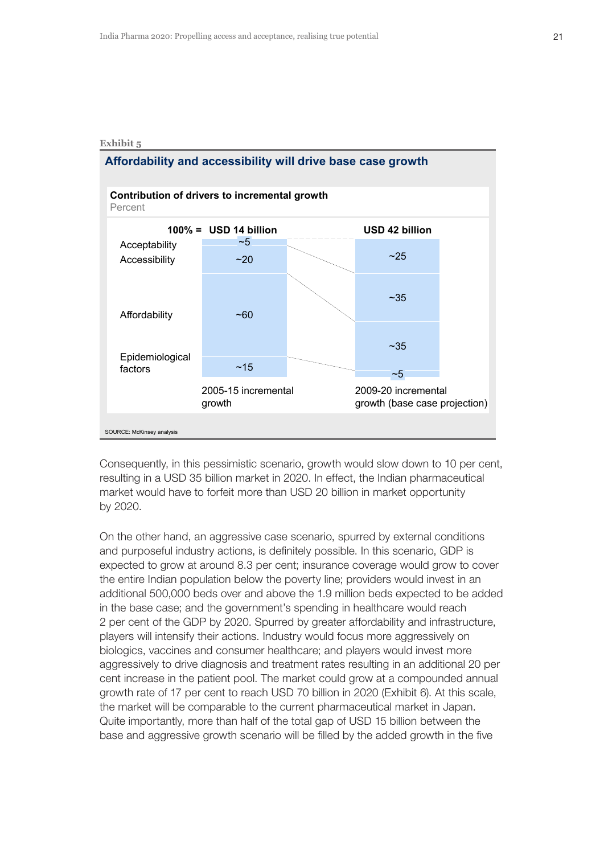



Consequently, in this pessimistic scenario, growth would slow down to 10 per cent, resulting in a USD 35 billion market in 2020. In effect, the Indian pharmaceutical market would have to forfeit more than USD 20 billion in market opportunity by 2020.

On the other hand, an aggressive case scenario, spurred by external conditions and purposeful industry actions, is definitely possible. In this scenario, GDP is expected to grow at around 8.3 per cent; insurance coverage would grow to cover the entire Indian population below the poverty line; providers would invest in an additional 500,000 beds over and above the 1.9 million beds expected to be added in the base case; and the government's spending in healthcare would reach 2 per cent of the GDP by 2020. Spurred by greater affordability and infrastructure, players will intensify their actions. Industry would focus more aggressively on biologics, vaccines and consumer healthcare; and players would invest more aggressively to drive diagnosis and treatment rates resulting in an additional 20 per cent increase in the patient pool. The market could grow at a compounded annual growth rate of 17 per cent to reach USD 70 billion in 2020 (Exhibit 6). At this scale, the market will be comparable to the current pharmaceutical market in Japan. Quite importantly, more than half of the total gap of USD 15 billion between the base and aggressive growth scenario will be filled by the added growth in the five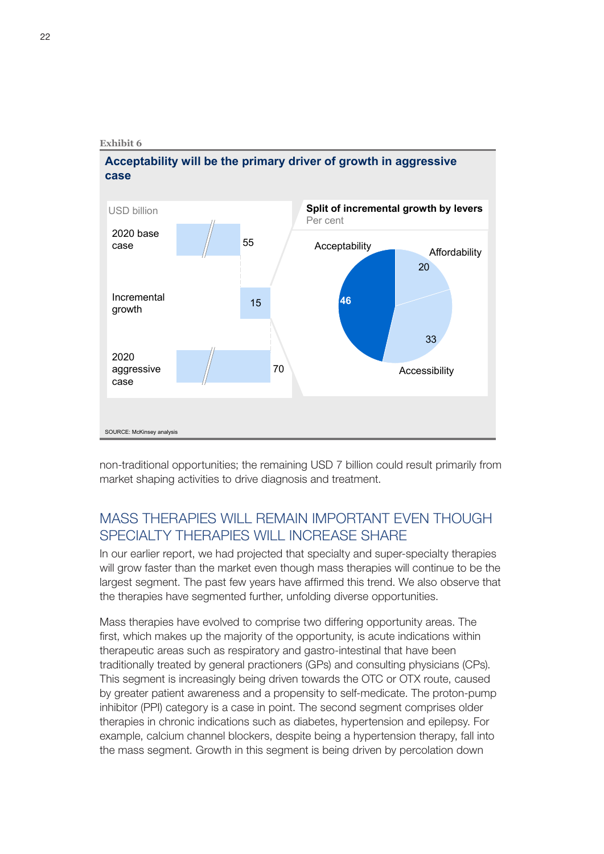## **Acceptability will be the primary driver of growth in aggressive case**



non-traditional opportunities; the remaining USD 7 billion could result primarily from market shaping activities to drive diagnosis and treatment.

# MASS THERAPIES WILL REMAIN IMPORTANT EVEN THOUGH SPECIALTY THERAPIES WILL INCREASE SHARE

In our earlier report, we had projected that specialty and super-specialty therapies will grow faster than the market even though mass therapies will continue to be the largest segment. The past few years have affirmed this trend. We also observe that the therapies have segmented further, unfolding diverse opportunities.

Mass therapies have evolved to comprise two differing opportunity areas. The first, which makes up the majority of the opportunity, is acute indications within therapeutic areas such as respiratory and gastro-intestinal that have been traditionally treated by general practioners (GPs) and consulting physicians (CPs). This segment is increasingly being driven towards the OTC or OTX route, caused by greater patient awareness and a propensity to self-medicate. The proton-pump inhibitor (PPI) category is a case in point. The second segment comprises older therapies in chronic indications such as diabetes, hypertension and epilepsy. For example, calcium channel blockers, despite being a hypertension therapy, fall into the mass segment. Growth in this segment is being driven by percolation down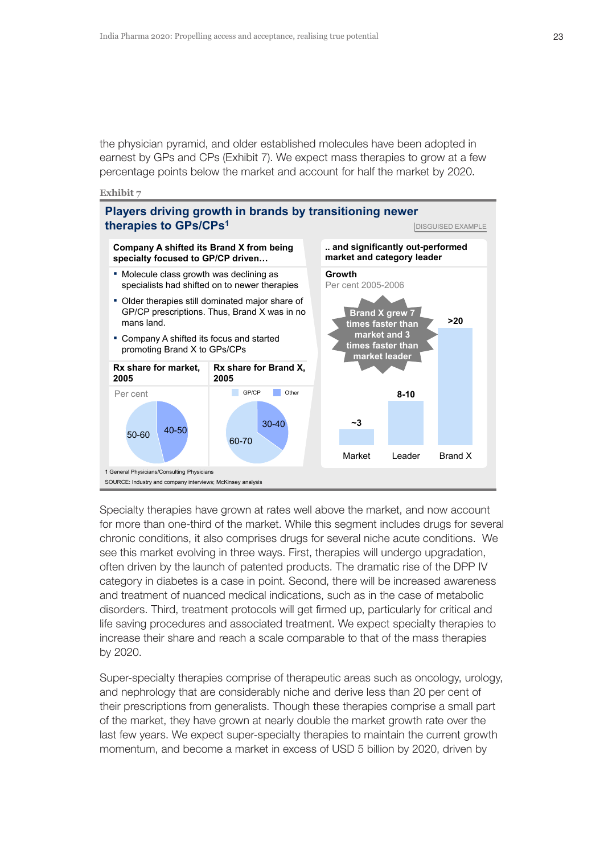the physician pyramid, and older established molecules have been adopted in earnest by GPs and CPs (Exhibit 7). We expect mass therapies to grow at a few percentage points below the market and account for half the market by 2020.





Specialty therapies have grown at rates well above the market, and now account for more than one-third of the market. While this segment includes drugs for several chronic conditions, it also comprises drugs for several niche acute conditions. We see this market evolving in three ways. First, therapies will undergo upgradation, often driven by the launch of patented products. The dramatic rise of the DPP IV category in diabetes is a case in point. Second, there will be increased awareness and treatment of nuanced medical indications, such as in the case of metabolic disorders. Third, treatment protocols will get firmed up, particularly for critical and life saving procedures and associated treatment. We expect specialty therapies to increase their share and reach a scale comparable to that of the mass therapies by 2020.

Super-specialty therapies comprise of therapeutic areas such as oncology, urology, and nephrology that are considerably niche and derive less than 20 per cent of their prescriptions from generalists. Though these therapies comprise a small part of the market, they have grown at nearly double the market growth rate over the last few years. We expect super-specialty therapies to maintain the current growth momentum, and become a market in excess of USD 5 billion by 2020, driven by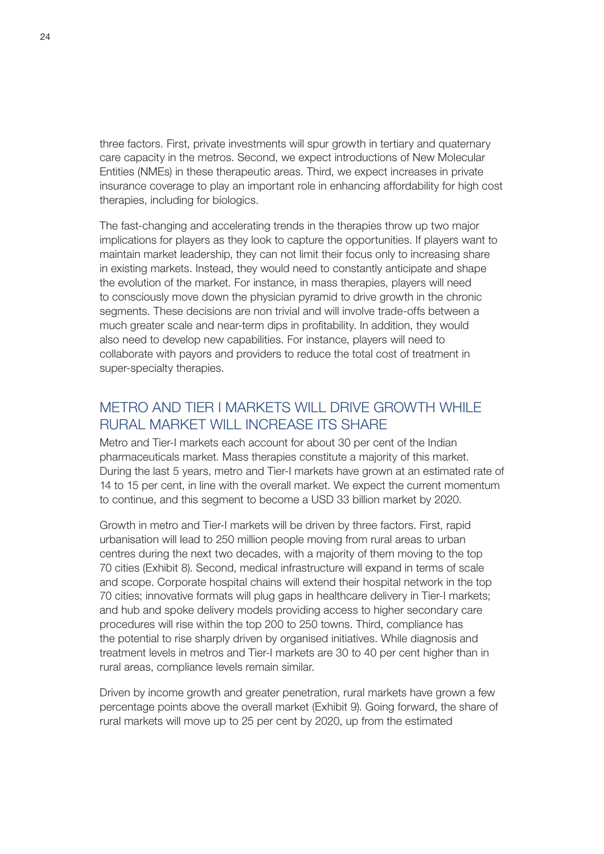three factors. First, private investments will spur growth in tertiary and quaternary care capacity in the metros. Second, we expect introductions of New Molecular Entities (NMEs) in these therapeutic areas. Third, we expect increases in private insurance coverage to play an important role in enhancing affordability for high cost therapies, including for biologics.

The fast-changing and accelerating trends in the therapies throw up two major implications for players as they look to capture the opportunities. If players want to maintain market leadership, they can not limit their focus only to increasing share in existing markets. Instead, they would need to constantly anticipate and shape the evolution of the market. For instance, in mass therapies, players will need to consciously move down the physician pyramid to drive growth in the chronic segments. These decisions are non trivial and will involve trade-offs between a much greater scale and near-term dips in profitability. In addition, they would also need to develop new capabilities. For instance, players will need to collaborate with payors and providers to reduce the total cost of treatment in super-specialty therapies.

# METRO AND TIFR I MARKETS WILL DRIVE GROWTH WHILE RURAL MARKET WILL INCREASE ITS SHARE

Metro and Tier-I markets each account for about 30 per cent of the Indian pharmaceuticals market. Mass therapies constitute a majority of this market. During the last 5 years, metro and Tier-I markets have grown at an estimated rate of 14 to 15 per cent, in line with the overall market. We expect the current momentum to continue, and this segment to become a USD 33 billion market by 2020.

Growth in metro and Tier-I markets will be driven by three factors. First, rapid urbanisation will lead to 250 million people moving from rural areas to urban centres during the next two decades, with a majority of them moving to the top 70 cities (Exhibit 8). Second, medical infrastructure will expand in terms of scale and scope. Corporate hospital chains will extend their hospital network in the top 70 cities; innovative formats will plug gaps in healthcare delivery in Tier-I markets; and hub and spoke delivery models providing access to higher secondary care procedures will rise within the top 200 to 250 towns. Third, compliance has the potential to rise sharply driven by organised initiatives. While diagnosis and treatment levels in metros and Tier-I markets are 30 to 40 per cent higher than in rural areas, compliance levels remain similar.

Driven by income growth and greater penetration, rural markets have grown a few percentage points above the overall market (Exhibit 9). Going forward, the share of rural markets will move up to 25 per cent by 2020, up from the estimated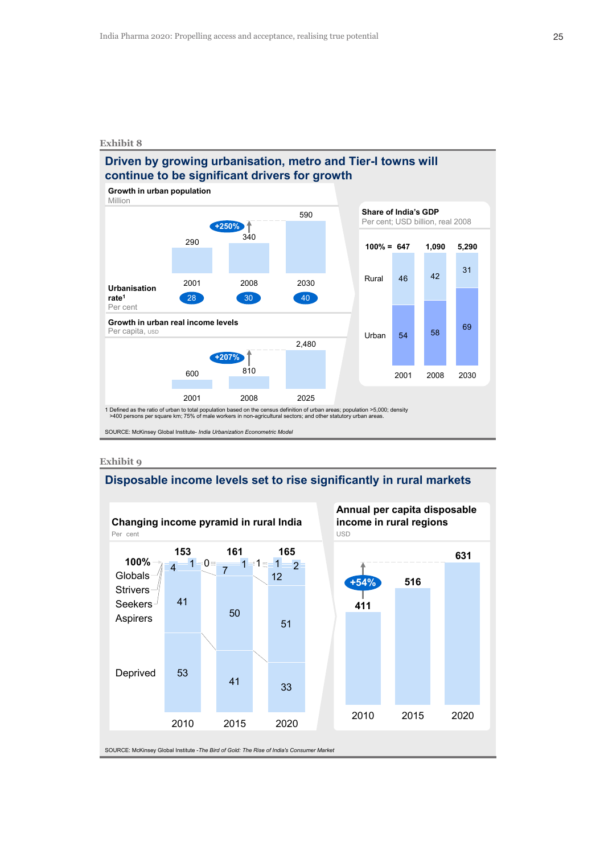# **Driven by growing urbanisation, metro and Tier-I towns will continue to be significant drivers for growth**

1 Defined as the ratio of urban to total population based on the census definition of urban areas; population >5,000; density<br>>400 persons per square km; 75% of male workers in non-agricultural sectors; and other statutor SOURCE: McKinsey Global Institute- *India Urbanization Econometric Model* **Growth in urban population** Million 290 2001 590 340 2008 2030 **+250%** 30 40 **Urbanisation rate1** Per cent 28 810 2008 2025 2,480 2001 600 **+207% Growth in urban real income levels** Per capita, usb **69**<br>Per capita, usb **54** 58 69 <sup>46</sup> <sup>42</sup> <sup>31</sup> 2008 2001 2030 **100% = 1,090 647** Rural **5,290** Urban **Share of India's GDP** Per cent; USD billion, real 2008

**Exhibit 9**

## **Disposable income levels set to rise significantly in rural markets**

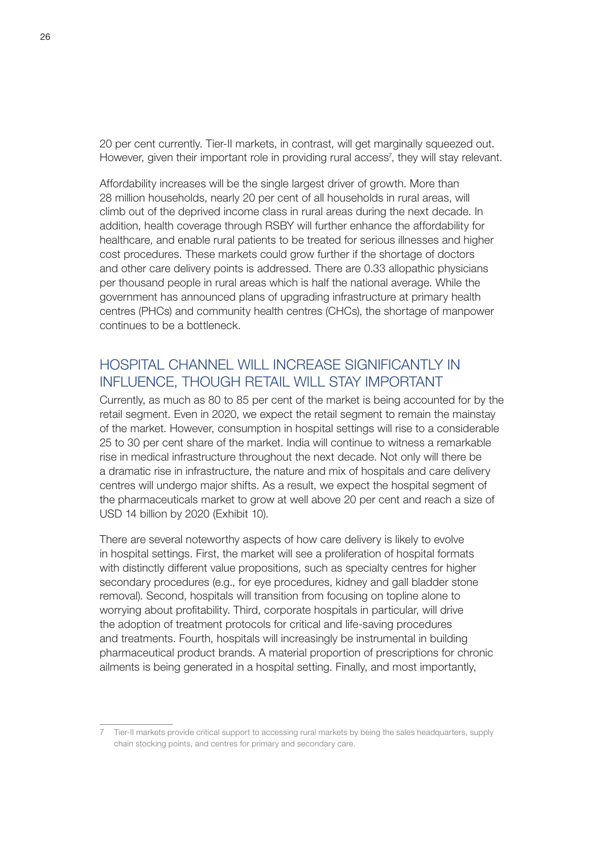20 per cent currently. Tier-II markets, in contrast, will get marginally squeezed out. However, given their important role in providing rural access<sup>7</sup>, they will stay relevant.

Affordability increases will be the single largest driver of growth. More than 28 million households, nearly 20 per cent of all households in rural areas, will climb out of the deprived income class in rural areas during the next decade. In addition, health coverage through RSBY will further enhance the affordability for healthcare, and enable rural patients to be treated for serious illnesses and higher cost procedures. These markets could grow further if the shortage of doctors and other care delivery points is addressed. There are 0.33 allopathic physicians per thousand people in rural areas which is half the national average. While the government has announced plans of upgrading infrastructure at primary health centres (PHCs) and community health centres (CHCs), the shortage of manpower continues to be a bottleneck.

# HOSPITAL CHANNEL WILL INCREASE SIGNIFICANTLY IN INFLUENCE, THOUGH RETAIL WILL STAY IMPORTANT

Currently, as much as 80 to 85 per cent of the market is being accounted for by the retail segment. Even in 2020, we expect the retail segment to remain the mainstay of the market. However, consumption in hospital settings will rise to a considerable 25 to 30 per cent share of the market. India will continue to witness a remarkable rise in medical infrastructure throughout the next decade. Not only will there be a dramatic rise in infrastructure, the nature and mix of hospitals and care delivery centres will undergo major shifts. As a result, we expect the hospital segment of the pharmaceuticals market to grow at well above 20 per cent and reach a size of USD 14 billion by 2020 (Exhibit 10).

There are several noteworthy aspects of how care delivery is likely to evolve in hospital settings. First, the market will see a proliferation of hospital formats with distinctly different value propositions, such as specialty centres for higher secondary procedures (e.g., for eye procedures, kidney and gall bladder stone removal). Second, hospitals will transition from focusing on topline alone to worrying about profitability. Third, corporate hospitals in particular, will drive the adoption of treatment protocols for critical and life-saving procedures and treatments. Fourth, hospitals will increasingly be instrumental in building pharmaceutical product brands. A material proportion of prescriptions for chronic ailments is being generated in a hospital setting. Finally, and most importantly,

<sup>7</sup> Tier-II markets provide critical support to accessing rural markets by being the sales headquarters, supply chain stocking points, and centres for primary and secondary care.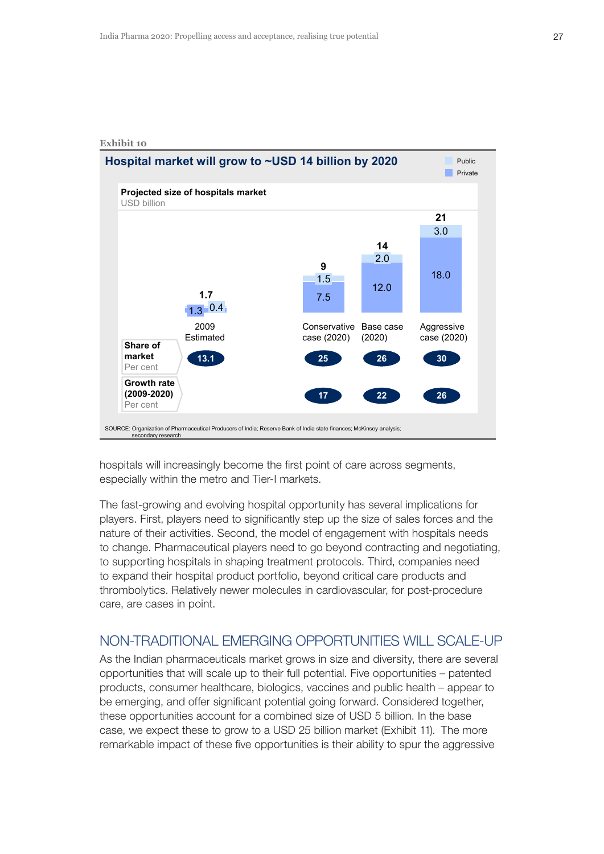

hospitals will increasingly become the first point of care across segments, especially within the metro and Tier-I markets.

The fast-growing and evolving hospital opportunity has several implications for players. First, players need to significantly step up the size of sales forces and the nature of their activities. Second, the model of engagement with hospitals needs to change. Pharmaceutical players need to go beyond contracting and negotiating, to supporting hospitals in shaping treatment protocols. Third, companies need to expand their hospital product portfolio, beyond critical care products and thrombolytics. Relatively newer molecules in cardiovascular, for post-procedure care, are cases in point.

# NON-TRADITIONAL EMERGING OPPORTUNITIES WILL SCALE-UP

As the Indian pharmaceuticals market grows in size and diversity, there are several opportunities that will scale up to their full potential. Five opportunities – patented products, consumer healthcare, biologics, vaccines and public health – appear to be emerging, and offer significant potential going forward. Considered together, these opportunities account for a combined size of USD 5 billion. In the base case, we expect these to grow to a USD 25 billion market (Exhibit 11). The more remarkable impact of these five opportunities is their ability to spur the aggressive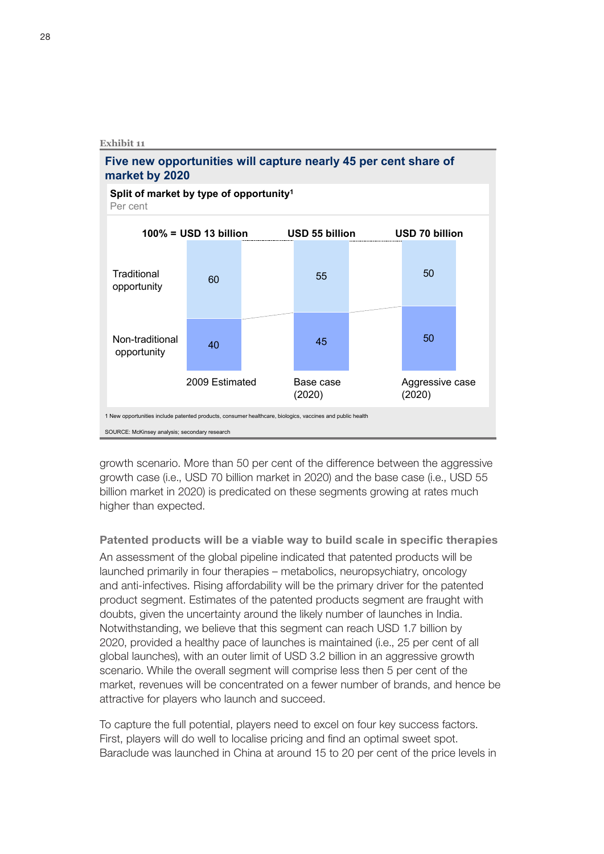

growth scenario. More than 50 per cent of the difference between the aggressive growth case (i.e., USD 70 billion market in 2020) and the base case (i.e., USD 55 billion market in 2020) is predicated on these segments growing at rates much higher than expected.

Patented products will be a viable way to build scale in specific therapies

An assessment of the global pipeline indicated that patented products will be launched primarily in four therapies – metabolics, neuropsychiatry, oncology and anti-infectives. Rising affordability will be the primary driver for the patented product segment. Estimates of the patented products segment are fraught with doubts, given the uncertainty around the likely number of launches in India. Notwithstanding, we believe that this segment can reach USD 1.7 billion by 2020, provided a healthy pace of launches is maintained (i.e., 25 per cent of all global launches), with an outer limit of USD 3.2 billion in an aggressive growth scenario. While the overall segment will comprise less then 5 per cent of the market, revenues will be concentrated on a fewer number of brands, and hence be attractive for players who launch and succeed.

To capture the full potential, players need to excel on four key success factors. First, players will do well to localise pricing and find an optimal sweet spot. Baraclude was launched in China at around 15 to 20 per cent of the price levels in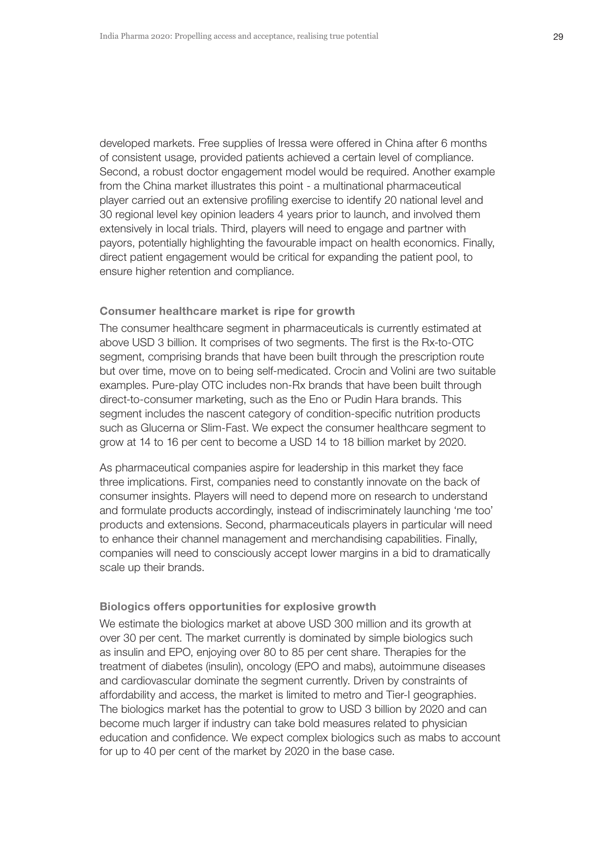developed markets. Free supplies of Iressa were offered in China after 6 months of consistent usage, provided patients achieved a certain level of compliance. Second, a robust doctor engagement model would be required. Another example from the China market illustrates this point - a multinational pharmaceutical player carried out an extensive profiling exercise to identify 20 national level and 30 regional level key opinion leaders 4 years prior to launch, and involved them extensively in local trials. Third, players will need to engage and partner with payors, potentially highlighting the favourable impact on health economics. Finally, direct patient engagement would be critical for expanding the patient pool, to ensure higher retention and compliance.

#### Consumer healthcare market is ripe for growth

The consumer healthcare segment in pharmaceuticals is currently estimated at above USD 3 billion. It comprises of two segments. The first is the Rx-to-OTC segment, comprising brands that have been built through the prescription route but over time, move on to being self-medicated. Crocin and Volini are two suitable examples. Pure-play OTC includes non-Rx brands that have been built through direct-to-consumer marketing, such as the Eno or Pudin Hara brands. This segment includes the nascent category of condition-specific nutrition products such as Glucerna or Slim-Fast. We expect the consumer healthcare segment to grow at 14 to 16 per cent to become a USD 14 to 18 billion market by 2020.

As pharmaceutical companies aspire for leadership in this market they face three implications. First, companies need to constantly innovate on the back of consumer insights. Players will need to depend more on research to understand and formulate products accordingly, instead of indiscriminately launching 'me too' products and extensions. Second, pharmaceuticals players in particular will need to enhance their channel management and merchandising capabilities. Finally, companies will need to consciously accept lower margins in a bid to dramatically scale up their brands.

#### Biologics offers opportunities for explosive growth

We estimate the biologics market at above USD 300 million and its growth at over 30 per cent. The market currently is dominated by simple biologics such as insulin and EPO, enjoying over 80 to 85 per cent share. Therapies for the treatment of diabetes (insulin), oncology (EPO and mabs), autoimmune diseases and cardiovascular dominate the segment currently. Driven by constraints of affordability and access, the market is limited to metro and Tier-I geographies. The biologics market has the potential to grow to USD 3 billion by 2020 and can become much larger if industry can take bold measures related to physician education and confidence. We expect complex biologics such as mabs to account for up to 40 per cent of the market by 2020 in the base case.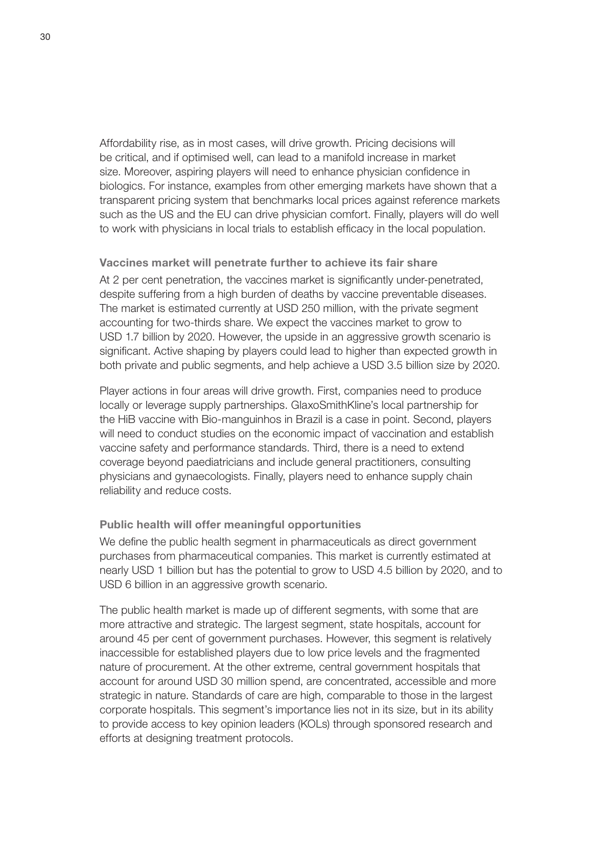Affordability rise, as in most cases, will drive growth. Pricing decisions will be critical, and if optimised well, can lead to a manifold increase in market size. Moreover, aspiring players will need to enhance physician confidence in biologics. For instance, examples from other emerging markets have shown that a transparent pricing system that benchmarks local prices against reference markets such as the US and the EU can drive physician comfort. Finally, players will do well to work with physicians in local trials to establish efficacy in the local population.

#### Vaccines market will penetrate further to achieve its fair share

At 2 per cent penetration, the vaccines market is significantly under-penetrated, despite suffering from a high burden of deaths by vaccine preventable diseases. The market is estimated currently at USD 250 million, with the private segment accounting for two-thirds share. We expect the vaccines market to grow to USD 1.7 billion by 2020. However, the upside in an aggressive growth scenario is significant. Active shaping by players could lead to higher than expected growth in both private and public segments, and help achieve a USD 3.5 billion size by 2020.

Player actions in four areas will drive growth. First, companies need to produce locally or leverage supply partnerships. GlaxoSmithKline's local partnership for the HiB vaccine with Bio-manguinhos in Brazil is a case in point. Second, players will need to conduct studies on the economic impact of vaccination and establish vaccine safety and performance standards. Third, there is a need to extend coverage beyond paediatricians and include general practitioners, consulting physicians and gynaecologists. Finally, players need to enhance supply chain reliability and reduce costs.

#### Public health will offer meaningful opportunities

We define the public health segment in pharmaceuticals as direct government purchases from pharmaceutical companies. This market is currently estimated at nearly USD 1 billion but has the potential to grow to USD 4.5 billion by 2020, and to USD 6 billion in an aggressive growth scenario.

The public health market is made up of different segments, with some that are more attractive and strategic. The largest segment, state hospitals, account for around 45 per cent of government purchases. However, this segment is relatively inaccessible for established players due to low price levels and the fragmented nature of procurement. At the other extreme, central government hospitals that account for around USD 30 million spend, are concentrated, accessible and more strategic in nature. Standards of care are high, comparable to those in the largest corporate hospitals. This segment's importance lies not in its size, but in its ability to provide access to key opinion leaders (KOLs) through sponsored research and efforts at designing treatment protocols.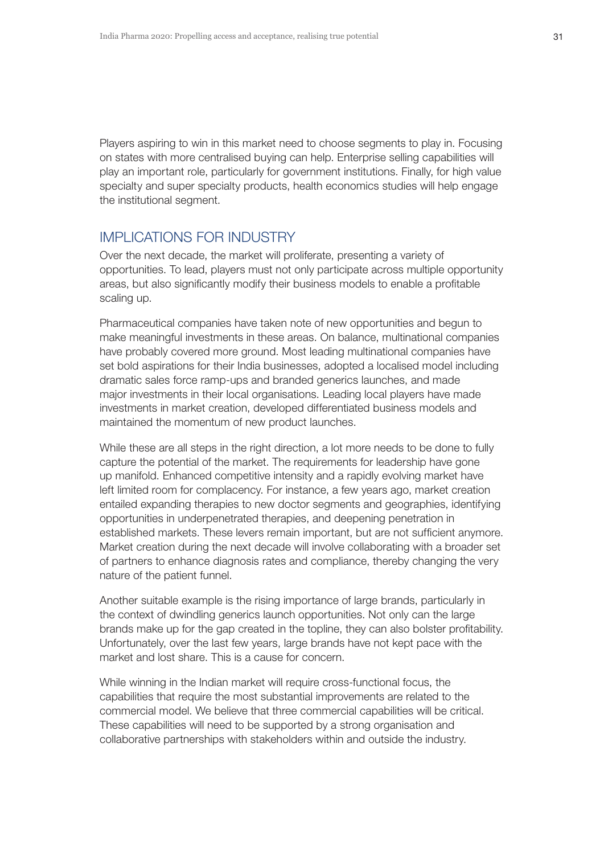Players aspiring to win in this market need to choose segments to play in. Focusing on states with more centralised buying can help. Enterprise selling capabilities will play an important role, particularly for government institutions. Finally, for high value specialty and super specialty products, health economics studies will help engage the institutional segment.

# IMPLICATIONS FOR INDUSTRY

Over the next decade, the market will proliferate, presenting a variety of opportunities. To lead, players must not only participate across multiple opportunity areas, but also significantly modify their business models to enable a profitable scaling up.

Pharmaceutical companies have taken note of new opportunities and begun to make meaningful investments in these areas. On balance, multinational companies have probably covered more ground. Most leading multinational companies have set bold aspirations for their India businesses, adopted a localised model including dramatic sales force ramp-ups and branded generics launches, and made major investments in their local organisations. Leading local players have made investments in market creation, developed differentiated business models and maintained the momentum of new product launches.

While these are all steps in the right direction, a lot more needs to be done to fully capture the potential of the market. The requirements for leadership have gone up manifold. Enhanced competitive intensity and a rapidly evolving market have left limited room for complacency. For instance, a few years ago, market creation entailed expanding therapies to new doctor segments and geographies, identifying opportunities in underpenetrated therapies, and deepening penetration in established markets. These levers remain important, but are not sufficient anymore. Market creation during the next decade will involve collaborating with a broader set of partners to enhance diagnosis rates and compliance, thereby changing the very nature of the patient funnel.

Another suitable example is the rising importance of large brands, particularly in the context of dwindling generics launch opportunities. Not only can the large brands make up for the gap created in the topline, they can also bolster profitability. Unfortunately, over the last few years, large brands have not kept pace with the market and lost share. This is a cause for concern.

While winning in the Indian market will require cross-functional focus, the capabilities that require the most substantial improvements are related to the commercial model. We believe that three commercial capabilities will be critical. These capabilities will need to be supported by a strong organisation and collaborative partnerships with stakeholders within and outside the industry.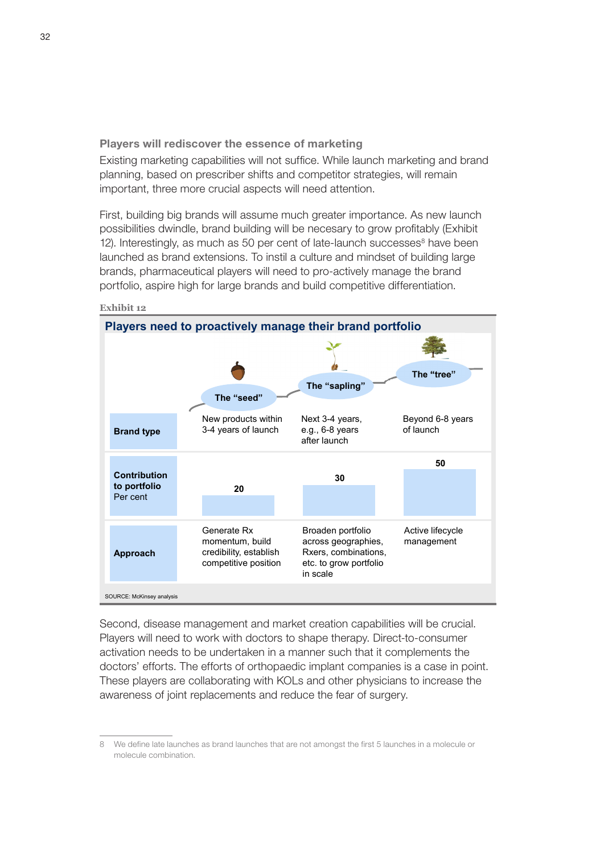Players will rediscover the essence of marketing

Existing marketing capabilities will not suffice. While launch marketing and brand planning, based on prescriber shifts and competitor strategies, will remain important, three more crucial aspects will need attention.

First, building big brands will assume much greater importance. As new launch possibilities dwindle, brand building will be necesary to grow profitably (Exhibit 12). Interestingly, as much as 50 per cent of late-launch successes<sup>8</sup> have been launched as brand extensions. To instil a culture and mindset of building large brands, pharmaceutical players will need to pro-actively manage the brand portfolio, aspire high for large brands and build competitive differentiation.



**Exhibit 12**

Second, disease management and market creation capabilities will be crucial. Players will need to work with doctors to shape therapy. Direct-to-consumer activation needs to be undertaken in a manner such that it complements the doctors' efforts. The efforts of orthopaedic implant companies is a case in point. These players are collaborating with KOLs and other physicians to increase the awareness of joint replacements and reduce the fear of surgery.

<sup>8</sup> We define late launches as brand launches that are not amongst the first 5 launches in a molecule or molecule combination.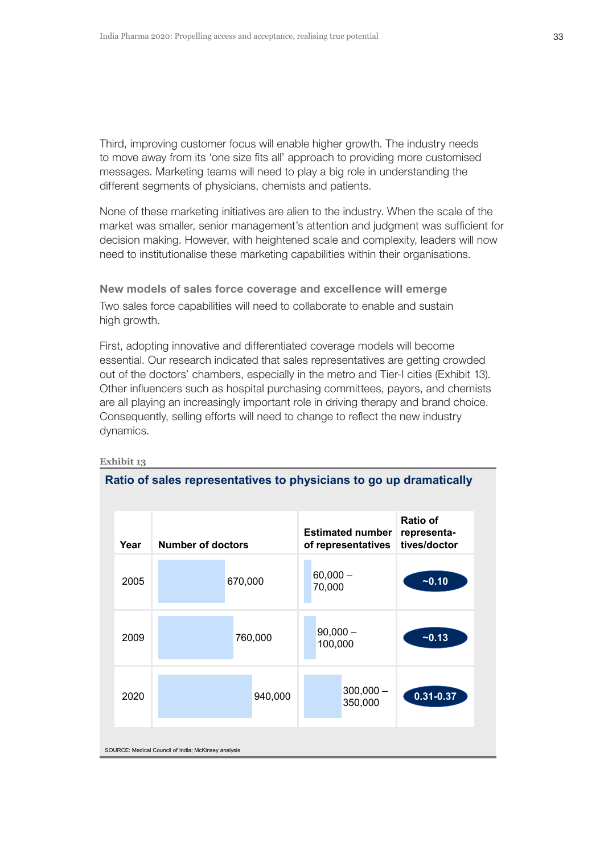Third, improving customer focus will enable higher growth. The industry needs to move away from its 'one size fits all' approach to providing more customised messages. Marketing teams will need to play a big role in understanding the different segments of physicians, chemists and patients.

None of these marketing initiatives are alien to the industry. When the scale of the market was smaller, senior management's attention and judgment was sufficient for decision making. However, with heightened scale and complexity, leaders will now need to institutionalise these marketing capabilities within their organisations.

New models of sales force coverage and excellence will emerge Two sales force capabilities will need to collaborate to enable and sustain high growth.

First, adopting innovative and differentiated coverage models will become essential. Our research indicated that sales representatives are getting crowded out of the doctors' chambers, especially in the metro and Tier-I cities (Exhibit 13). Other influencers such as hospital purchasing committees, payors, and chemists are all playing an increasingly important role in driving therapy and brand choice. Consequently, selling efforts will need to change to reflect the new industry dynamics.

| Year | <b>Number of doctors</b>                            |         | <b>Estimated number</b><br>of representatives |                        | Ratio of<br>representa-<br>tives/doctor |
|------|-----------------------------------------------------|---------|-----------------------------------------------|------------------------|-----------------------------------------|
| 2005 |                                                     | 670,000 | 70,000                                        | $60,000 -$             | $-0.10$                                 |
| 2009 |                                                     | 760,000 |                                               | $90,000 -$<br>100,000  | $-0.13$                                 |
| 2020 |                                                     | 940,000 |                                               | $300,000 -$<br>350,000 | $0.31 - 0.37$                           |
|      | SOURCE: Medical Council of India; McKinsey analysis |         |                                               |                        |                                         |

#### **Exhibit 13**

#### **Ratio of sales representatives to physicians to go up dramatically**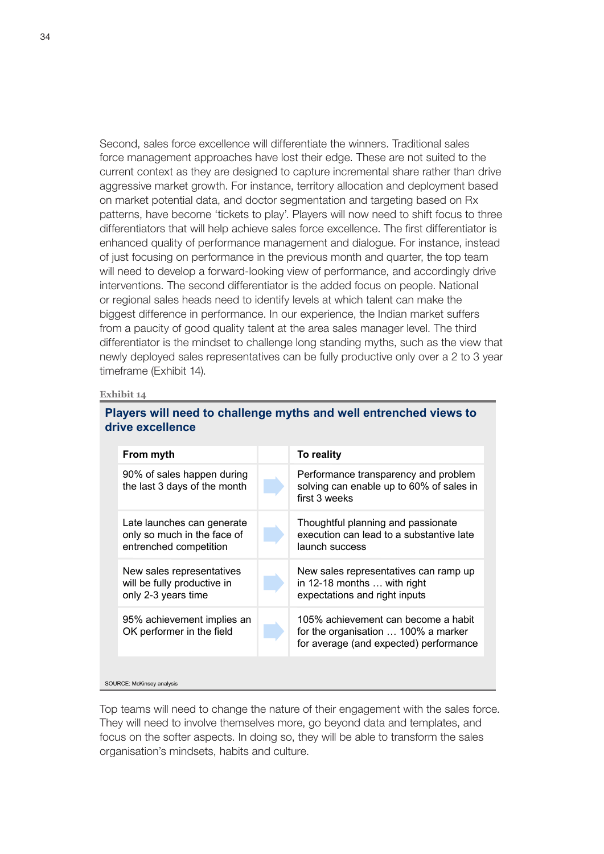Second, sales force excellence will differentiate the winners. Traditional sales force management approaches have lost their edge. These are not suited to the current context as they are designed to capture incremental share rather than drive aggressive market growth. For instance, territory allocation and deployment based on market potential data, and doctor segmentation and targeting based on Rx patterns, have become 'tickets to play'. Players will now need to shift focus to three differentiators that will help achieve sales force excellence. The first differentiator is enhanced quality of performance management and dialogue. For instance, instead of just focusing on performance in the previous month and quarter, the top team will need to develop a forward-looking view of performance, and accordingly drive interventions. The second differentiator is the added focus on people. National or regional sales heads need to identify levels at which talent can make the biggest difference in performance. In our experience, the Indian market suffers from a paucity of good quality talent at the area sales manager level. The third differentiator is the mindset to challenge long standing myths, such as the view that newly deployed sales representatives can be fully productive only over a 2 to 3 year timeframe (Exhibit 14).

#### **Exhibit 14**

### **Players will need to challenge myths and well entrenched views to drive excellence**

| From myth                                                                           | To reality                                                                                                           |
|-------------------------------------------------------------------------------------|----------------------------------------------------------------------------------------------------------------------|
| 90% of sales happen during<br>the last 3 days of the month                          | Performance transparency and problem<br>solving can enable up to 60% of sales in<br>first 3 weeks                    |
| Late launches can generate<br>only so much in the face of<br>entrenched competition | Thoughtful planning and passionate<br>execution can lead to a substantive late<br>launch success                     |
| New sales representatives<br>will be fully productive in<br>only 2-3 years time     | New sales representatives can ramp up<br>in 12-18 months  with right<br>expectations and right inputs                |
| 95% achievement implies an<br>OK performer in the field                             | 105% achievement can become a habit<br>for the organisation  100% a marker<br>for average (and expected) performance |
|                                                                                     |                                                                                                                      |

SOURCE: McKinsey analysis

Top teams will need to change the nature of their engagement with the sales force. They will need to involve themselves more, go beyond data and templates, and focus on the softer aspects. In doing so, they will be able to transform the sales organisation's mindsets, habits and culture.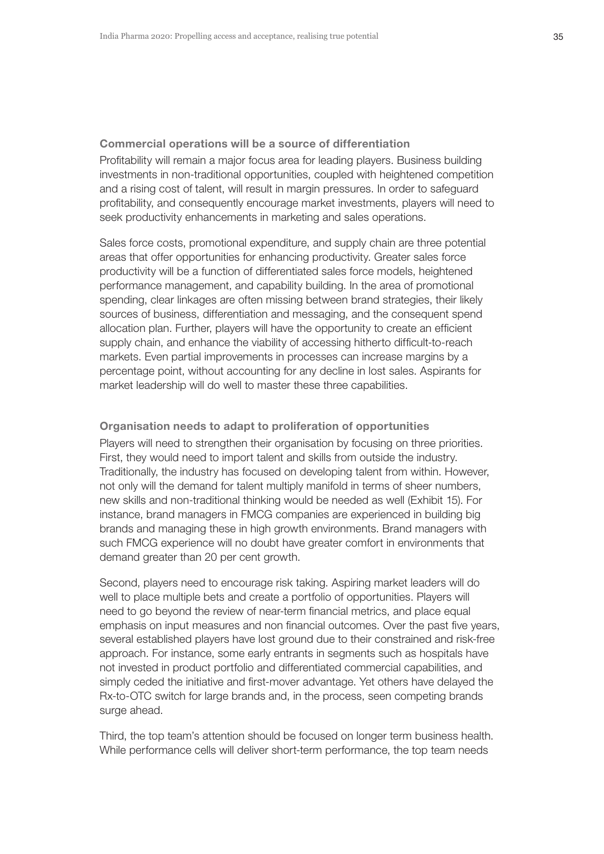Commercial operations will be a source of differentiation Profitability will remain a major focus area for leading players. Business building investments in non-traditional opportunities, coupled with heightened competition and a rising cost of talent, will result in margin pressures. In order to safeguard profitability, and consequently encourage market investments, players will need to seek productivity enhancements in marketing and sales operations.

Sales force costs, promotional expenditure, and supply chain are three potential areas that offer opportunities for enhancing productivity. Greater sales force productivity will be a function of differentiated sales force models, heightened performance management, and capability building. In the area of promotional spending, clear linkages are often missing between brand strategies, their likely sources of business, differentiation and messaging, and the consequent spend allocation plan. Further, players will have the opportunity to create an efficient supply chain, and enhance the viability of accessing hitherto difficult-to-reach markets. Even partial improvements in processes can increase margins by a percentage point, without accounting for any decline in lost sales. Aspirants for market leadership will do well to master these three capabilities.

Organisation needs to adapt to proliferation of opportunities Players will need to strengthen their organisation by focusing on three priorities. First, they would need to import talent and skills from outside the industry. Traditionally, the industry has focused on developing talent from within. However, not only will the demand for talent multiply manifold in terms of sheer numbers, new skills and non-traditional thinking would be needed as well (Exhibit 15). For instance, brand managers in FMCG companies are experienced in building big brands and managing these in high growth environments. Brand managers with such FMCG experience will no doubt have greater comfort in environments that demand greater than 20 per cent growth.

Second, players need to encourage risk taking. Aspiring market leaders will do well to place multiple bets and create a portfolio of opportunities. Players will need to go beyond the review of near-term financial metrics, and place equal emphasis on input measures and non financial outcomes. Over the past five years, several established players have lost ground due to their constrained and risk-free approach. For instance, some early entrants in segments such as hospitals have not invested in product portfolio and differentiated commercial capabilities, and simply ceded the initiative and first-mover advantage. Yet others have delayed the Rx-to-OTC switch for large brands and, in the process, seen competing brands surge ahead.

Third, the top team's attention should be focused on longer term business health. While performance cells will deliver short-term performance, the top team needs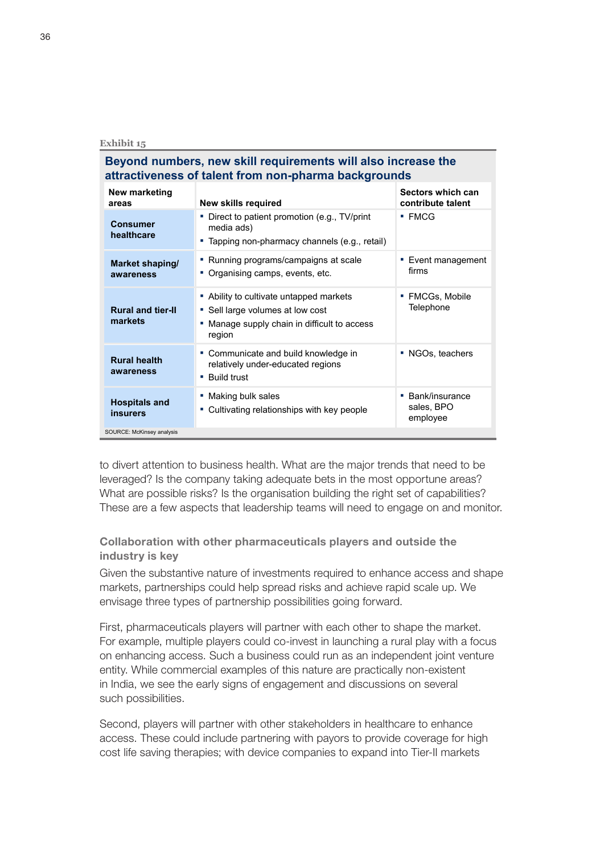## **Beyond numbers, new skill requirements will also increase the attractiveness of talent from non-pharma backgrounds**

| New marketing<br>areas                  | <b>New skills required</b>                                                                                                          | Sectors which can<br>contribute talent         |  |  |  |  |
|-----------------------------------------|-------------------------------------------------------------------------------------------------------------------------------------|------------------------------------------------|--|--|--|--|
| <b>Consumer</b><br>healthcare           | • Direct to patient promotion (e.g., TV/print<br>media ads)<br>• Tapping non-pharmacy channels (e.g., retail)                       | $\blacksquare$ FMCG                            |  |  |  |  |
| Market shaping/<br>awareness            | • Running programs/campaigns at scale<br>• Organising camps, events, etc.                                                           | Event management<br>firms                      |  |  |  |  |
| <b>Rural and tier-II</b><br>markets     | • Ability to cultivate untapped markets<br>• Sell large volumes at low cost<br>Manage supply chain in difficult to access<br>region | <b>FMCGs, Mobile</b><br>٠<br>Telephone         |  |  |  |  |
| <b>Rural health</b><br>awareness        | • Communicate and build knowledge in<br>relatively under-educated regions<br>• Build trust                                          | • NGOs, teachers                               |  |  |  |  |
| <b>Hospitals and</b><br><b>insurers</b> | • Making bulk sales<br>Cultivating relationships with key people                                                                    | Bank/insurance<br>×.<br>sales, BPO<br>employee |  |  |  |  |
| SOURCE: McKinsey analysis               |                                                                                                                                     |                                                |  |  |  |  |

to divert attention to business health. What are the major trends that need to be leveraged? Is the company taking adequate bets in the most opportune areas? What are possible risks? Is the organisation building the right set of capabilities? These are a few aspects that leadership teams will need to engage on and monitor.

## Collaboration with other pharmaceuticals players and outside the industry is key

Given the substantive nature of investments required to enhance access and shape markets, partnerships could help spread risks and achieve rapid scale up. We envisage three types of partnership possibilities going forward.

First, pharmaceuticals players will partner with each other to shape the market. For example, multiple players could co-invest in launching a rural play with a focus on enhancing access. Such a business could run as an independent joint venture entity. While commercial examples of this nature are practically non-existent in India, we see the early signs of engagement and discussions on several such possibilities.

Second, players will partner with other stakeholders in healthcare to enhance access. These could include partnering with payors to provide coverage for high cost life saving therapies; with device companies to expand into Tier-II markets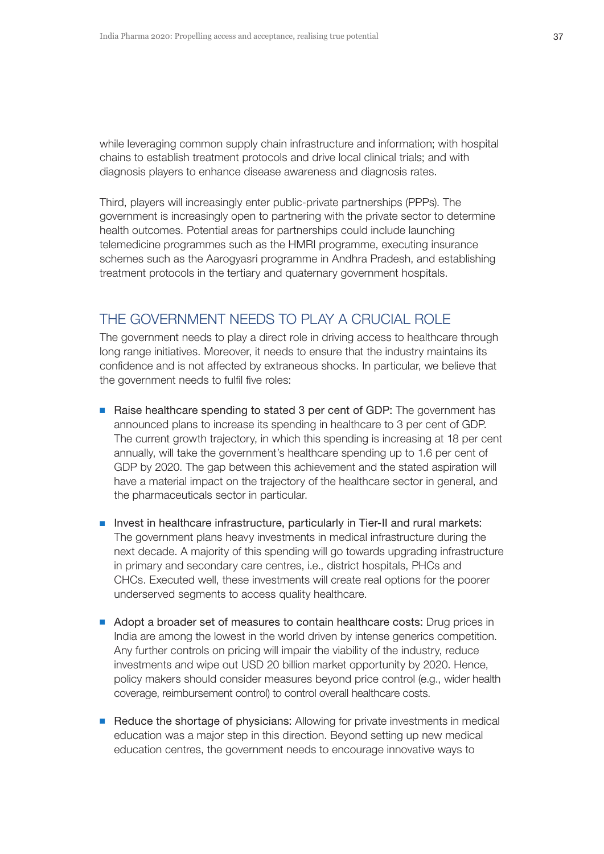while leveraging common supply chain infrastructure and information; with hospital chains to establish treatment protocols and drive local clinical trials; and with diagnosis players to enhance disease awareness and diagnosis rates.

Third, players will increasingly enter public-private partnerships (PPPs). The government is increasingly open to partnering with the private sector to determine health outcomes. Potential areas for partnerships could include launching telemedicine programmes such as the HMRI programme, executing insurance schemes such as the Aarogyasri programme in Andhra Pradesh, and establishing treatment protocols in the tertiary and quaternary government hospitals.

# THE GOVERNMENT NEEDS TO PLAY A CRUCIAL ROLE

The government needs to play a direct role in driving access to healthcare through long range initiatives. Moreover, it needs to ensure that the industry maintains its confidence and is not affected by extraneous shocks. In particular, we believe that the government needs to fulfil five roles:

- Raise healthcare spending to stated 3 per cent of GDP: The government has announced plans to increase its spending in healthcare to 3 per cent of GDP. The current growth trajectory, in which this spending is increasing at 18 per cent annually, will take the government's healthcare spending up to 1.6 per cent of GDP by 2020. The gap between this achievement and the stated aspiration will have a material impact on the trajectory of the healthcare sector in general, and the pharmaceuticals sector in particular.
- **D** Invest in healthcare infrastructure, particularly in Tier-II and rural markets: The government plans heavy investments in medical infrastructure during the next decade. A majority of this spending will go towards upgrading infrastructure in primary and secondary care centres, i.e., district hospitals, PHCs and CHCs. Executed well, these investments will create real options for the poorer underserved segments to access quality healthcare.
- Adopt a broader set of measures to contain healthcare costs: Drug prices in India are among the lowest in the world driven by intense generics competition. Any further controls on pricing will impair the viability of the industry, reduce investments and wipe out USD 20 billion market opportunity by 2020. Hence, policy makers should consider measures beyond price control (e.g., wider health coverage, reimbursement control) to control overall healthcare costs.
- Reduce the shortage of physicians: Allowing for private investments in medical education was a major step in this direction. Beyond setting up new medical education centres, the government needs to encourage innovative ways to